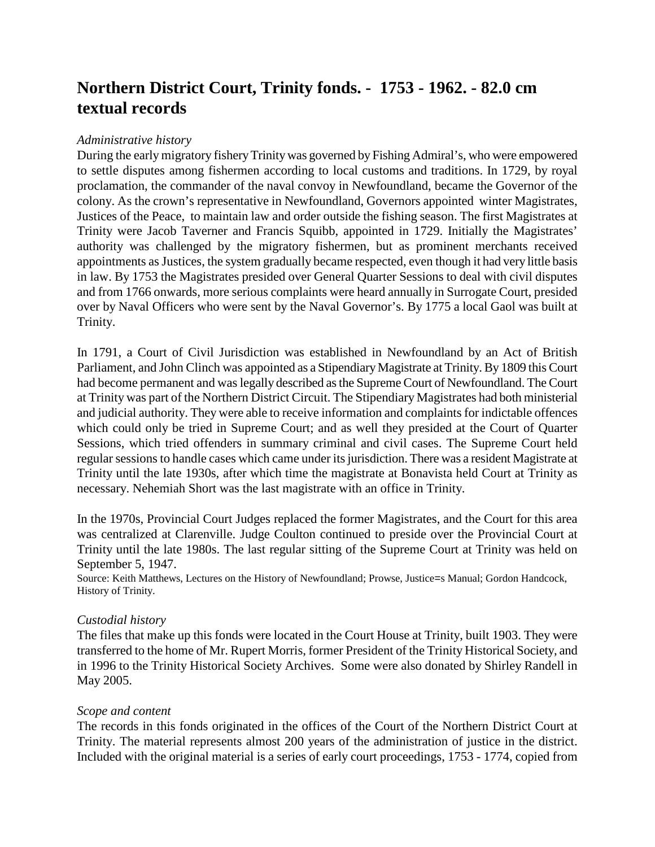# **Northern District Court, Trinity fonds. - 1753 - 1962. - 82.0 cm textual records**

# *Administrative history*

During the early migratory fishery Trinity was governed by Fishing Admiral's, who were empowered to settle disputes among fishermen according to local customs and traditions. In 1729, by royal proclamation, the commander of the naval convoy in Newfoundland, became the Governor of the colony. As the crown's representative in Newfoundland, Governors appointed winter Magistrates, Justices of the Peace, to maintain law and order outside the fishing season. The first Magistrates at Trinity were Jacob Taverner and Francis Squibb, appointed in 1729. Initially the Magistrates' authority was challenged by the migratory fishermen, but as prominent merchants received appointments as Justices, the system gradually became respected, even though it had very little basis in law. By 1753 the Magistrates presided over General Quarter Sessions to deal with civil disputes and from 1766 onwards, more serious complaints were heard annually in Surrogate Court, presided over by Naval Officers who were sent by the Naval Governor's. By 1775 a local Gaol was built at Trinity.

In 1791, a Court of Civil Jurisdiction was established in Newfoundland by an Act of British Parliament, and John Clinch was appointed as a Stipendiary Magistrate at Trinity. By 1809 this Court had become permanent and was legally described as the Supreme Court of Newfoundland. The Court at Trinity was part of the Northern District Circuit. The Stipendiary Magistrates had both ministerial and judicial authority. They were able to receive information and complaints for indictable offences which could only be tried in Supreme Court; and as well they presided at the Court of Quarter Sessions, which tried offenders in summary criminal and civil cases. The Supreme Court held regular sessions to handle cases which came under its jurisdiction. There was a resident Magistrate at Trinity until the late 1930s, after which time the magistrate at Bonavista held Court at Trinity as necessary. Nehemiah Short was the last magistrate with an office in Trinity.

In the 1970s, Provincial Court Judges replaced the former Magistrates, and the Court for this area was centralized at Clarenville. Judge Coulton continued to preside over the Provincial Court at Trinity until the late 1980s. The last regular sitting of the Supreme Court at Trinity was held on September 5, 1947.

Source: Keith Matthews, Lectures on the History of Newfoundland; Prowse, Justice=s Manual; Gordon Handcock, History of Trinity.

# *Custodial history*

The files that make up this fonds were located in the Court House at Trinity, built 1903. They were transferred to the home of Mr. Rupert Morris, former President of the Trinity Historical Society, and in 1996 to the Trinity Historical Society Archives. Some were also donated by Shirley Randell in May 2005.

# *Scope and content*

The records in this fonds originated in the offices of the Court of the Northern District Court at Trinity. The material represents almost 200 years of the administration of justice in the district. Included with the original material is a series of early court proceedings, 1753 - 1774, copied from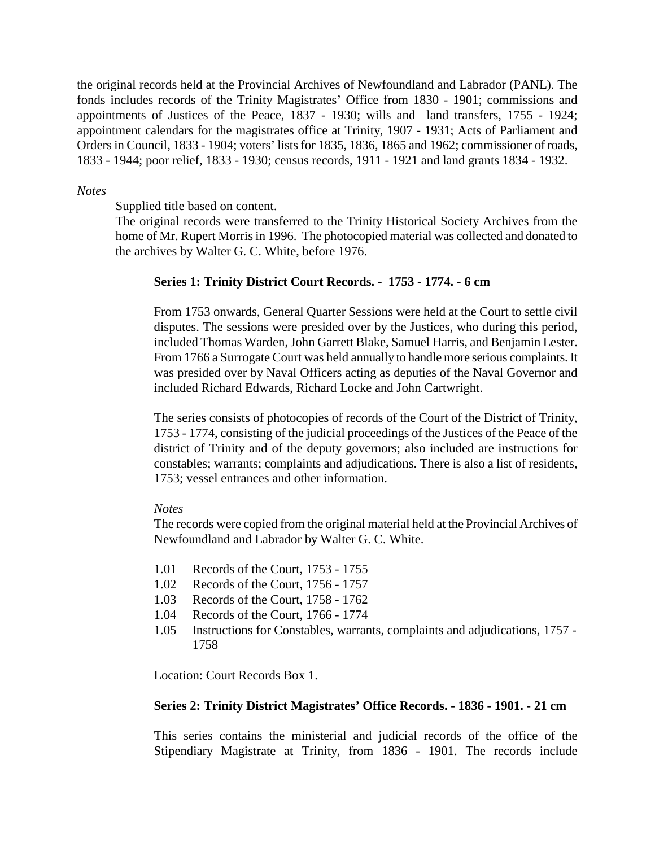the original records held at the Provincial Archives of Newfoundland and Labrador (PANL). The fonds includes records of the Trinity Magistrates' Office from 1830 - 1901; commissions and appointments of Justices of the Peace, 1837 - 1930; wills and land transfers, 1755 - 1924; appointment calendars for the magistrates office at Trinity, 1907 - 1931; Acts of Parliament and Orders in Council, 1833 - 1904; voters' lists for 1835, 1836, 1865 and 1962; commissioner of roads, 1833 - 1944; poor relief, 1833 - 1930; census records, 1911 - 1921 and land grants 1834 - 1932.

## *Notes*

Supplied title based on content.

The original records were transferred to the Trinity Historical Society Archives from the home of Mr. Rupert Morris in 1996. The photocopied material was collected and donated to the archives by Walter G. C. White, before 1976.

### **Series 1: Trinity District Court Records. - 1753 - 1774. - 6 cm**

From 1753 onwards, General Quarter Sessions were held at the Court to settle civil disputes. The sessions were presided over by the Justices, who during this period, included Thomas Warden, John Garrett Blake, Samuel Harris, and Benjamin Lester. From 1766 a Surrogate Court was held annually to handle more serious complaints. It was presided over by Naval Officers acting as deputies of the Naval Governor and included Richard Edwards, Richard Locke and John Cartwright.

The series consists of photocopies of records of the Court of the District of Trinity, 1753 - 1774, consisting of the judicial proceedings of the Justices of the Peace of the district of Trinity and of the deputy governors; also included are instructions for constables; warrants; complaints and adjudications. There is also a list of residents, 1753; vessel entrances and other information.

#### *Notes*

The records were copied from the original material held at the Provincial Archives of Newfoundland and Labrador by Walter G. C. White.

- 1.01 Records of the Court, 1753 1755
- 1.02 Records of the Court, 1756 1757
- 1.03 Records of the Court, 1758 1762
- 1.04 Records of the Court, 1766 1774
- 1.05 Instructions for Constables, warrants, complaints and adjudications, 1757 1758

Location: Court Records Box 1.

### **Series 2: Trinity District Magistrates' Office Records. - 1836 - 1901. - 21 cm**

This series contains the ministerial and judicial records of the office of the Stipendiary Magistrate at Trinity, from 1836 - 1901. The records include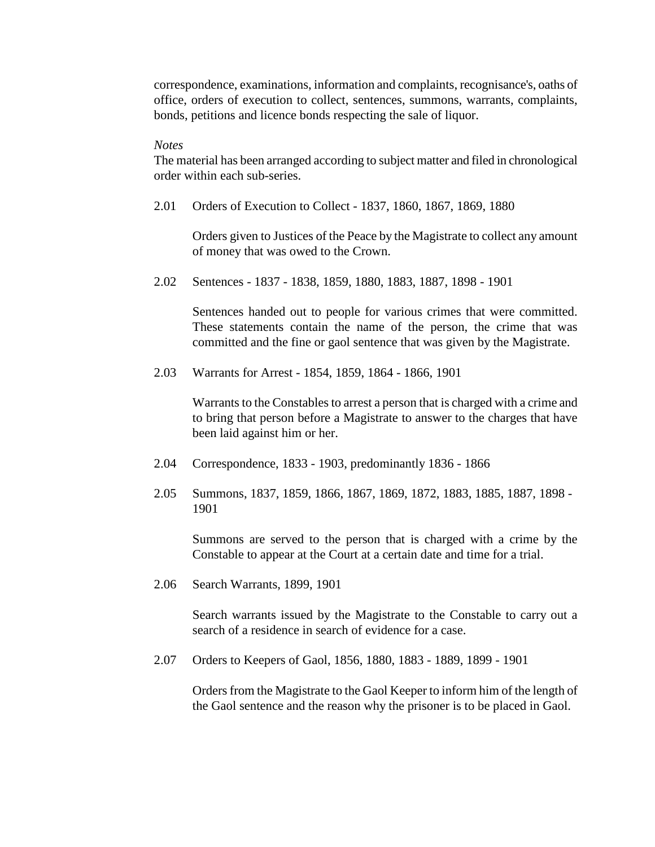correspondence, examinations, information and complaints, recognisance's, oaths of office, orders of execution to collect, sentences, summons, warrants, complaints, bonds, petitions and licence bonds respecting the sale of liquor.

#### *Notes*

The material has been arranged according to subject matter and filed in chronological order within each sub-series.

2.01 Orders of Execution to Collect - 1837, 1860, 1867, 1869, 1880

Orders given to Justices of the Peace by the Magistrate to collect any amount of money that was owed to the Crown.

2.02 Sentences - 1837 - 1838, 1859, 1880, 1883, 1887, 1898 - 1901

Sentences handed out to people for various crimes that were committed. These statements contain the name of the person, the crime that was committed and the fine or gaol sentence that was given by the Magistrate.

2.03 Warrants for Arrest - 1854, 1859, 1864 - 1866, 1901

Warrants to the Constables to arrest a person that is charged with a crime and to bring that person before a Magistrate to answer to the charges that have been laid against him or her.

- 2.04 Correspondence, 1833 1903, predominantly 1836 1866
- 2.05 Summons, 1837, 1859, 1866, 1867, 1869, 1872, 1883, 1885, 1887, 1898 1901

Summons are served to the person that is charged with a crime by the Constable to appear at the Court at a certain date and time for a trial.

2.06 Search Warrants, 1899, 1901

Search warrants issued by the Magistrate to the Constable to carry out a search of a residence in search of evidence for a case.

2.07 Orders to Keepers of Gaol, 1856, 1880, 1883 - 1889, 1899 - 1901

Orders from the Magistrate to the Gaol Keeper to inform him of the length of the Gaol sentence and the reason why the prisoner is to be placed in Gaol.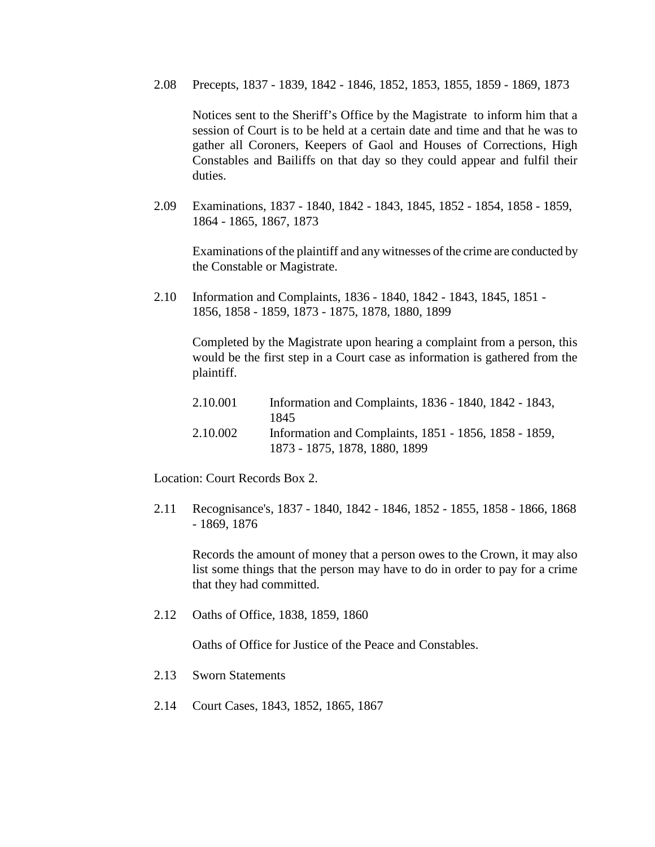2.08 Precepts, 1837 - 1839, 1842 - 1846, 1852, 1853, 1855, 1859 - 1869, 1873

Notices sent to the Sheriff's Office by the Magistrate to inform him that a session of Court is to be held at a certain date and time and that he was to gather all Coroners, Keepers of Gaol and Houses of Corrections, High Constables and Bailiffs on that day so they could appear and fulfil their duties.

2.09 Examinations, 1837 - 1840, 1842 - 1843, 1845, 1852 - 1854, 1858 - 1859, 1864 - 1865, 1867, 1873

Examinations of the plaintiff and any witnesses of the crime are conducted by the Constable or Magistrate.

2.10 Information and Complaints, 1836 - 1840, 1842 - 1843, 1845, 1851 - 1856, 1858 - 1859, 1873 - 1875, 1878, 1880, 1899

Completed by the Magistrate upon hearing a complaint from a person, this would be the first step in a Court case as information is gathered from the plaintiff.

| 2.10.001 | Information and Complaints, 1836 - 1840, 1842 - 1843, |
|----------|-------------------------------------------------------|
|          | 1845                                                  |
| 2.10.002 | Information and Complaints, 1851 - 1856, 1858 - 1859, |
|          | 1873 - 1875, 1878, 1880, 1899                         |

Location: Court Records Box 2.

2.11 Recognisance's, 1837 - 1840, 1842 - 1846, 1852 - 1855, 1858 - 1866, 1868 - 1869, 1876

Records the amount of money that a person owes to the Crown, it may also list some things that the person may have to do in order to pay for a crime that they had committed.

2.12 Oaths of Office, 1838, 1859, 1860

Oaths of Office for Justice of the Peace and Constables.

- 2.13 Sworn Statements
- 2.14 Court Cases, 1843, 1852, 1865, 1867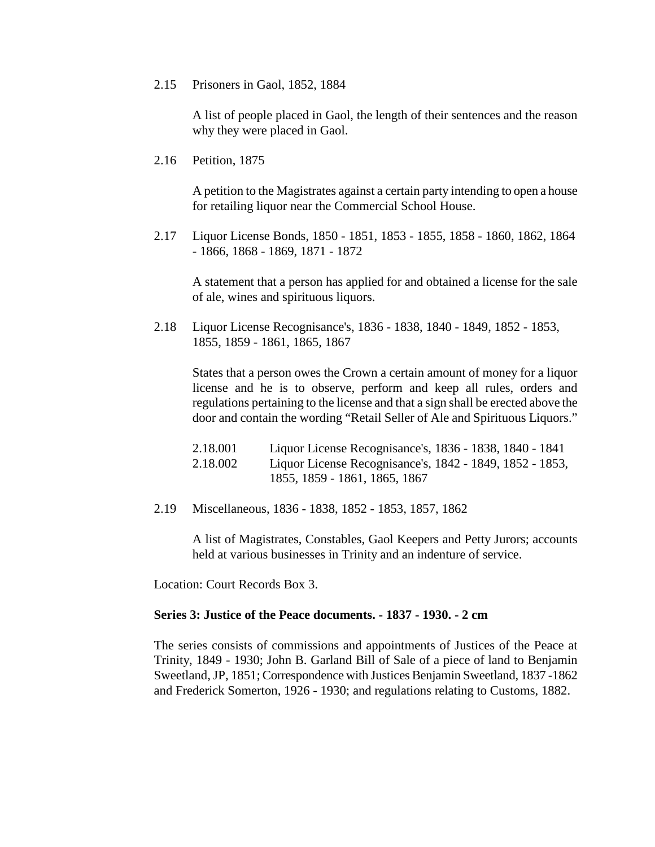#### 2.15 Prisoners in Gaol, 1852, 1884

A list of people placed in Gaol, the length of their sentences and the reason why they were placed in Gaol.

2.16 Petition, 1875

A petition to the Magistrates against a certain party intending to open a house for retailing liquor near the Commercial School House.

2.17 Liquor License Bonds, 1850 - 1851, 1853 - 1855, 1858 - 1860, 1862, 1864 - 1866, 1868 - 1869, 1871 - 1872

A statement that a person has applied for and obtained a license for the sale of ale, wines and spirituous liquors.

2.18 Liquor License Recognisance's, 1836 - 1838, 1840 - 1849, 1852 - 1853, 1855, 1859 - 1861, 1865, 1867

States that a person owes the Crown a certain amount of money for a liquor license and he is to observe, perform and keep all rules, orders and regulations pertaining to the license and that a sign shall be erected above the door and contain the wording "Retail Seller of Ale and Spirituous Liquors."

| 2.18.001 | Liquor License Recognisance's, 1836 - 1838, 1840 - 1841  |
|----------|----------------------------------------------------------|
| 2.18.002 | Liquor License Recognisance's, 1842 - 1849, 1852 - 1853, |
|          | 1855, 1859 - 1861, 1865, 1867                            |

2.19 Miscellaneous, 1836 - 1838, 1852 - 1853, 1857, 1862

A list of Magistrates, Constables, Gaol Keepers and Petty Jurors; accounts held at various businesses in Trinity and an indenture of service.

Location: Court Records Box 3.

#### **Series 3: Justice of the Peace documents. - 1837 - 1930. - 2 cm**

The series consists of commissions and appointments of Justices of the Peace at Trinity, 1849 - 1930; John B. Garland Bill of Sale of a piece of land to Benjamin Sweetland, JP, 1851; Correspondence with Justices Benjamin Sweetland, 1837 -1862 and Frederick Somerton, 1926 - 1930; and regulations relating to Customs, 1882.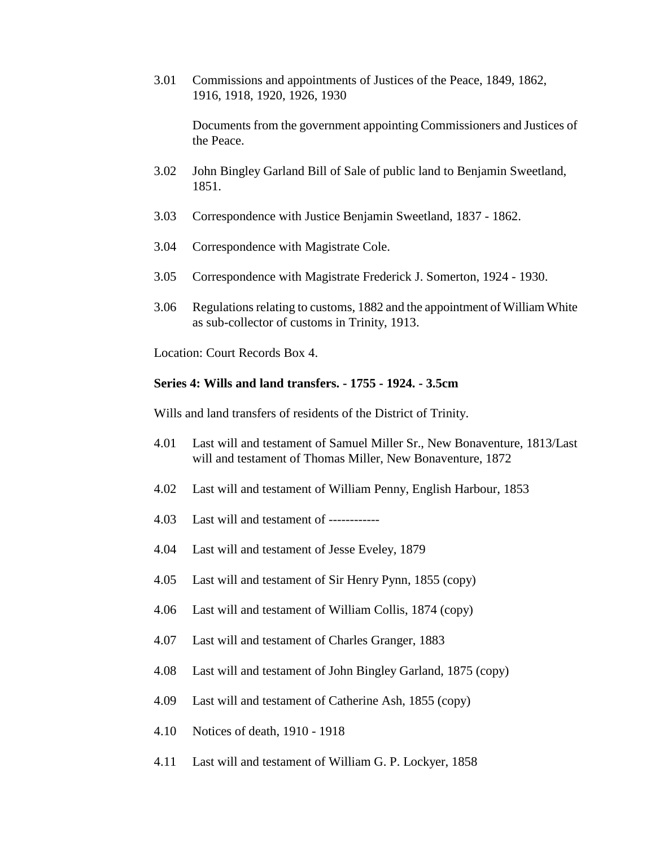3.01 Commissions and appointments of Justices of the Peace, 1849, 1862, 1916, 1918, 1920, 1926, 1930

Documents from the government appointing Commissioners and Justices of the Peace.

- 3.02 John Bingley Garland Bill of Sale of public land to Benjamin Sweetland, 1851.
- 3.03 Correspondence with Justice Benjamin Sweetland, 1837 1862.
- 3.04 Correspondence with Magistrate Cole.
- 3.05 Correspondence with Magistrate Frederick J. Somerton, 1924 1930.
- 3.06 Regulations relating to customs, 1882 and the appointment of William White as sub-collector of customs in Trinity, 1913.

Location: Court Records Box 4.

## **Series 4: Wills and land transfers. - 1755 - 1924. - 3.5cm**

Wills and land transfers of residents of the District of Trinity.

- 4.01 Last will and testament of Samuel Miller Sr., New Bonaventure, 1813/Last will and testament of Thomas Miller, New Bonaventure, 1872
- 4.02 Last will and testament of William Penny, English Harbour, 1853
- 4.03 Last will and testament of ------------
- 4.04 Last will and testament of Jesse Eveley, 1879
- 4.05 Last will and testament of Sir Henry Pynn, 1855 (copy)
- 4.06 Last will and testament of William Collis, 1874 (copy)
- 4.07 Last will and testament of Charles Granger, 1883
- 4.08 Last will and testament of John Bingley Garland, 1875 (copy)
- 4.09 Last will and testament of Catherine Ash, 1855 (copy)
- 4.10 Notices of death, 1910 1918
- 4.11 Last will and testament of William G. P. Lockyer, 1858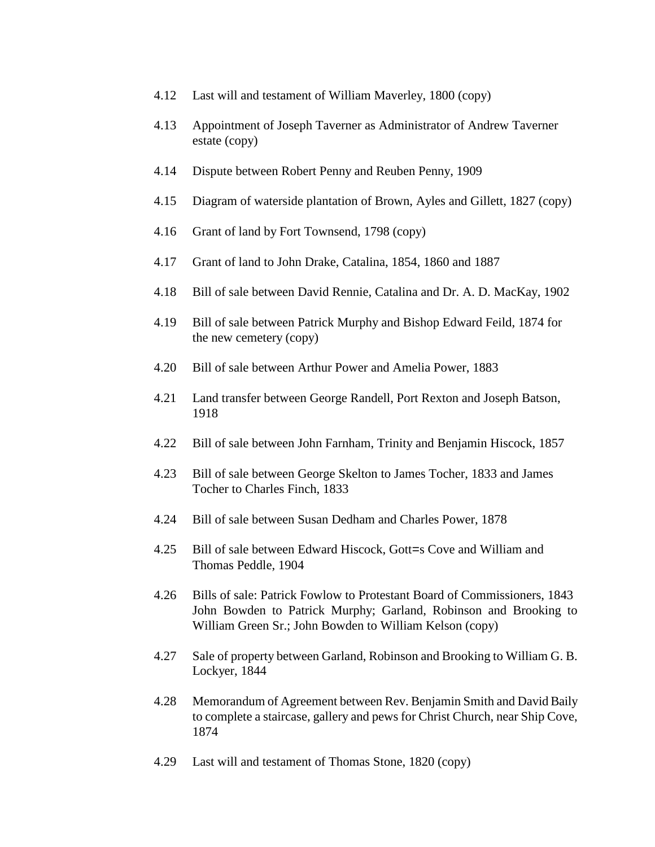- 4.12 Last will and testament of William Maverley, 1800 (copy)
- 4.13 Appointment of Joseph Taverner as Administrator of Andrew Taverner estate (copy)
- 4.14 Dispute between Robert Penny and Reuben Penny, 1909
- 4.15 Diagram of waterside plantation of Brown, Ayles and Gillett, 1827 (copy)
- 4.16 Grant of land by Fort Townsend, 1798 (copy)
- 4.17 Grant of land to John Drake, Catalina, 1854, 1860 and 1887
- 4.18 Bill of sale between David Rennie, Catalina and Dr. A. D. MacKay, 1902
- 4.19 Bill of sale between Patrick Murphy and Bishop Edward Feild, 1874 for the new cemetery (copy)
- 4.20 Bill of sale between Arthur Power and Amelia Power, 1883
- 4.21 Land transfer between George Randell, Port Rexton and Joseph Batson, 1918
- 4.22 Bill of sale between John Farnham, Trinity and Benjamin Hiscock, 1857
- 4.23 Bill of sale between George Skelton to James Tocher, 1833 and James Tocher to Charles Finch, 1833
- 4.24 Bill of sale between Susan Dedham and Charles Power, 1878
- 4.25 Bill of sale between Edward Hiscock, Gott=s Cove and William and Thomas Peddle, 1904
- 4.26 Bills of sale: Patrick Fowlow to Protestant Board of Commissioners, 1843 John Bowden to Patrick Murphy; Garland, Robinson and Brooking to William Green Sr.; John Bowden to William Kelson (copy)
- 4.27 Sale of property between Garland, Robinson and Brooking to William G. B. Lockyer, 1844
- 4.28 Memorandum of Agreement between Rev. Benjamin Smith and David Baily to complete a staircase, gallery and pews for Christ Church, near Ship Cove, 1874
- 4.29 Last will and testament of Thomas Stone, 1820 (copy)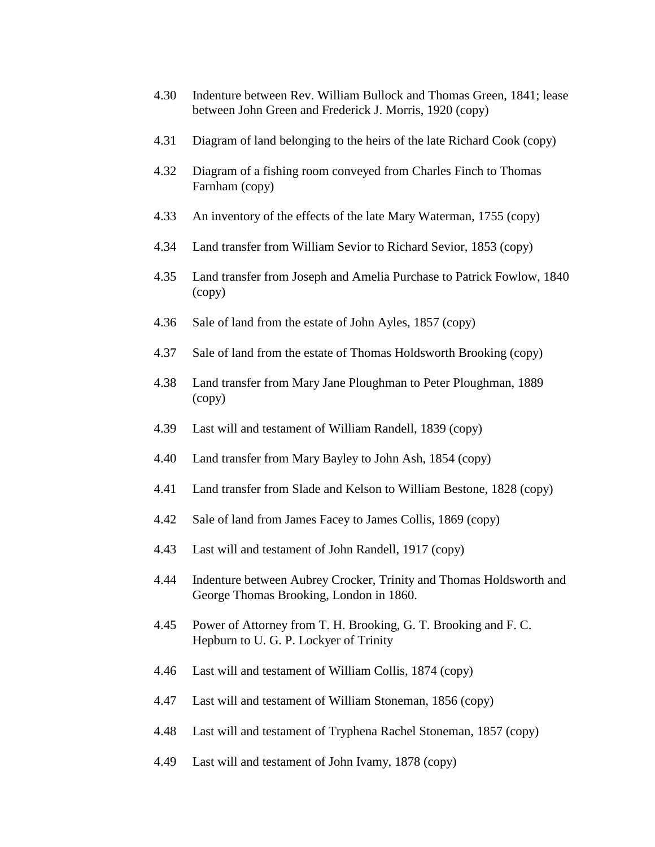- 4.30 Indenture between Rev. William Bullock and Thomas Green, 1841; lease between John Green and Frederick J. Morris, 1920 (copy)
- 4.31 Diagram of land belonging to the heirs of the late Richard Cook (copy)
- 4.32 Diagram of a fishing room conveyed from Charles Finch to Thomas Farnham (copy)
- 4.33 An inventory of the effects of the late Mary Waterman, 1755 (copy)
- 4.34 Land transfer from William Sevior to Richard Sevior, 1853 (copy)
- 4.35 Land transfer from Joseph and Amelia Purchase to Patrick Fowlow, 1840 (copy)
- 4.36 Sale of land from the estate of John Ayles, 1857 (copy)
- 4.37 Sale of land from the estate of Thomas Holdsworth Brooking (copy)
- 4.38 Land transfer from Mary Jane Ploughman to Peter Ploughman, 1889 (copy)
- 4.39 Last will and testament of William Randell, 1839 (copy)
- 4.40 Land transfer from Mary Bayley to John Ash, 1854 (copy)
- 4.41 Land transfer from Slade and Kelson to William Bestone, 1828 (copy)
- 4.42 Sale of land from James Facey to James Collis, 1869 (copy)
- 4.43 Last will and testament of John Randell, 1917 (copy)
- 4.44 Indenture between Aubrey Crocker, Trinity and Thomas Holdsworth and George Thomas Brooking, London in 1860.
- 4.45 Power of Attorney from T. H. Brooking, G. T. Brooking and F. C. Hepburn to U. G. P. Lockyer of Trinity
- 4.46 Last will and testament of William Collis, 1874 (copy)
- 4.47 Last will and testament of William Stoneman, 1856 (copy)
- 4.48 Last will and testament of Tryphena Rachel Stoneman, 1857 (copy)
- 4.49 Last will and testament of John Ivamy, 1878 (copy)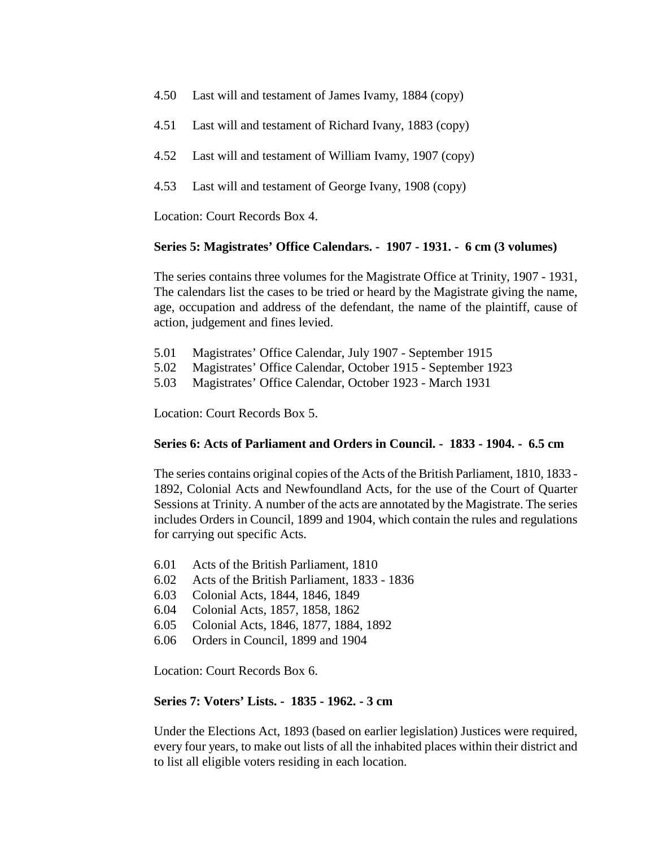- 4.50 Last will and testament of James Ivamy, 1884 (copy)
- 4.51 Last will and testament of Richard Ivany, 1883 (copy)
- 4.52 Last will and testament of William Ivamy, 1907 (copy)
- 4.53 Last will and testament of George Ivany, 1908 (copy)

Location: Court Records Box 4.

# **Series 5: Magistrates' Office Calendars. - 1907 - 1931. - 6 cm (3 volumes)**

The series contains three volumes for the Magistrate Office at Trinity, 1907 - 1931, The calendars list the cases to be tried or heard by the Magistrate giving the name, age, occupation and address of the defendant, the name of the plaintiff, cause of action, judgement and fines levied.

- 5.01 Magistrates' Office Calendar, July 1907 September 1915
- 5.02 Magistrates' Office Calendar, October 1915 September 1923
- 5.03 Magistrates' Office Calendar, October 1923 March 1931

Location: Court Records Box 5.

# **Series 6: Acts of Parliament and Orders in Council. - 1833 - 1904. - 6.5 cm**

The series contains original copies of the Acts of the British Parliament, 1810, 1833 - 1892, Colonial Acts and Newfoundland Acts, for the use of the Court of Quarter Sessions at Trinity. A number of the acts are annotated by the Magistrate. The series includes Orders in Council, 1899 and 1904, which contain the rules and regulations for carrying out specific Acts.

- 6.01 Acts of the British Parliament, 1810
- 6.02 Acts of the British Parliament, 1833 1836
- 6.03 Colonial Acts, 1844, 1846, 1849
- 6.04 Colonial Acts, 1857, 1858, 1862
- 6.05 Colonial Acts, 1846, 1877, 1884, 1892
- 6.06 Orders in Council, 1899 and 1904

Location: Court Records Box 6.

# **Series 7: Voters' Lists. - 1835 - 1962. - 3 cm**

Under the Elections Act, 1893 (based on earlier legislation) Justices were required, every four years, to make out lists of all the inhabited places within their district and to list all eligible voters residing in each location.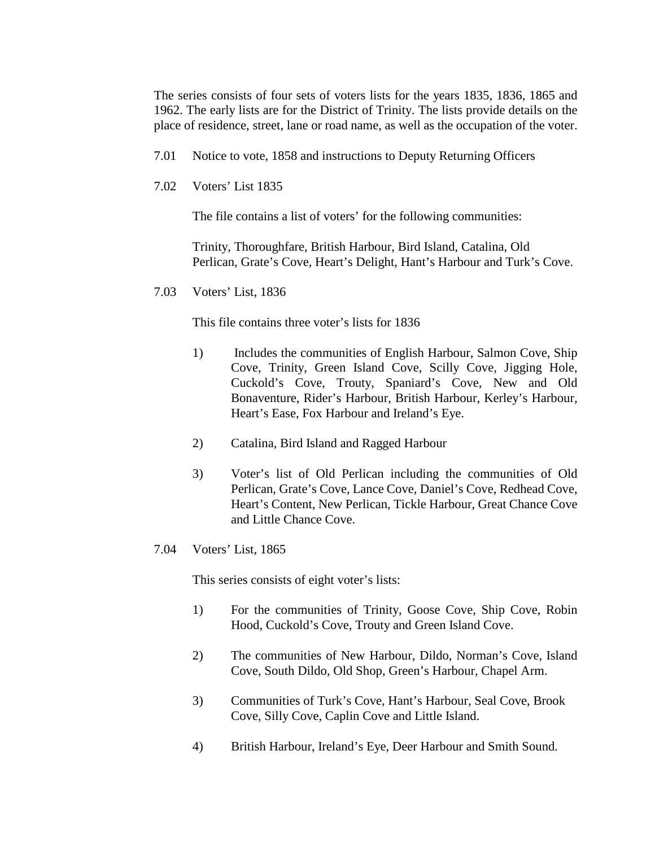The series consists of four sets of voters lists for the years 1835, 1836, 1865 and 1962. The early lists are for the District of Trinity. The lists provide details on the place of residence, street, lane or road name, as well as the occupation of the voter.

- 7.01 Notice to vote, 1858 and instructions to Deputy Returning Officers
- 7.02 Voters' List 1835

The file contains a list of voters' for the following communities:

Trinity, Thoroughfare, British Harbour, Bird Island, Catalina, Old Perlican, Grate's Cove, Heart's Delight, Hant's Harbour and Turk's Cove.

7.03 Voters' List, 1836

This file contains three voter's lists for 1836

- 1) Includes the communities of English Harbour, Salmon Cove, Ship Cove, Trinity, Green Island Cove, Scilly Cove, Jigging Hole, Cuckold's Cove, Trouty, Spaniard's Cove, New and Old Bonaventure, Rider's Harbour, British Harbour, Kerley's Harbour, Heart's Ease, Fox Harbour and Ireland's Eye.
- 2) Catalina, Bird Island and Ragged Harbour
- 3) Voter's list of Old Perlican including the communities of Old Perlican, Grate's Cove, Lance Cove, Daniel's Cove, Redhead Cove, Heart's Content, New Perlican, Tickle Harbour, Great Chance Cove and Little Chance Cove.
- 7.04 Voters' List, 1865

This series consists of eight voter's lists:

- 1) For the communities of Trinity, Goose Cove, Ship Cove, Robin Hood, Cuckold's Cove, Trouty and Green Island Cove.
- 2) The communities of New Harbour, Dildo, Norman's Cove, Island Cove, South Dildo, Old Shop, Green's Harbour, Chapel Arm.
- 3) Communities of Turk's Cove, Hant's Harbour, Seal Cove, Brook Cove, Silly Cove, Caplin Cove and Little Island.
- 4) British Harbour, Ireland's Eye, Deer Harbour and Smith Sound.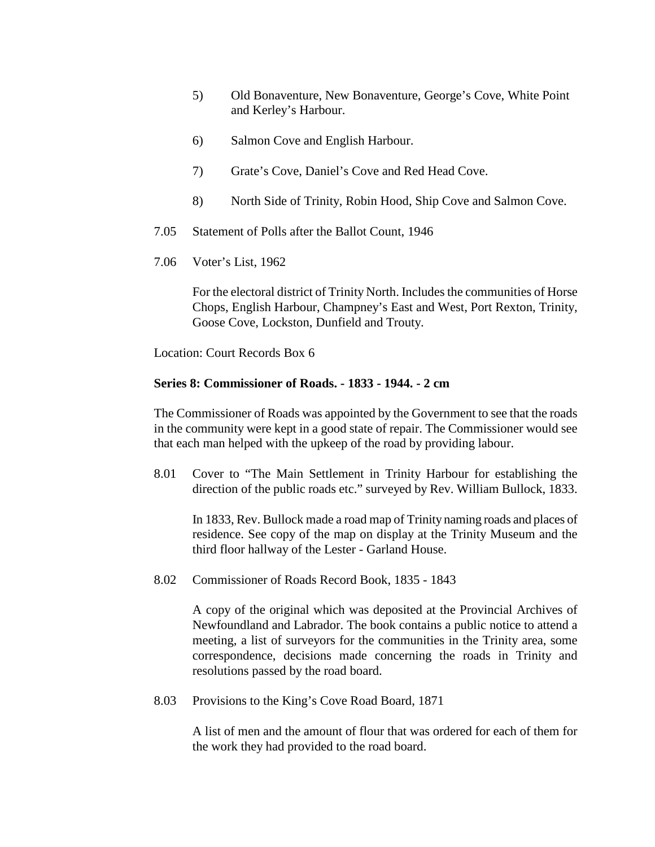- 5) Old Bonaventure, New Bonaventure, George's Cove, White Point and Kerley's Harbour.
- 6) Salmon Cove and English Harbour.
- 7) Grate's Cove, Daniel's Cove and Red Head Cove.
- 8) North Side of Trinity, Robin Hood, Ship Cove and Salmon Cove.
- 7.05 Statement of Polls after the Ballot Count, 1946
- 7.06 Voter's List, 1962

For the electoral district of Trinity North. Includes the communities of Horse Chops, English Harbour, Champney's East and West, Port Rexton, Trinity, Goose Cove, Lockston, Dunfield and Trouty.

Location: Court Records Box 6

### **Series 8: Commissioner of Roads. - 1833 - 1944. - 2 cm**

The Commissioner of Roads was appointed by the Government to see that the roads in the community were kept in a good state of repair. The Commissioner would see that each man helped with the upkeep of the road by providing labour.

8.01 Cover to "The Main Settlement in Trinity Harbour for establishing the direction of the public roads etc." surveyed by Rev. William Bullock, 1833.

In 1833, Rev. Bullock made a road map of Trinity naming roads and places of residence. See copy of the map on display at the Trinity Museum and the third floor hallway of the Lester - Garland House.

8.02 Commissioner of Roads Record Book, 1835 - 1843

A copy of the original which was deposited at the Provincial Archives of Newfoundland and Labrador. The book contains a public notice to attend a meeting, a list of surveyors for the communities in the Trinity area, some correspondence, decisions made concerning the roads in Trinity and resolutions passed by the road board.

8.03 Provisions to the King's Cove Road Board, 1871

A list of men and the amount of flour that was ordered for each of them for the work they had provided to the road board.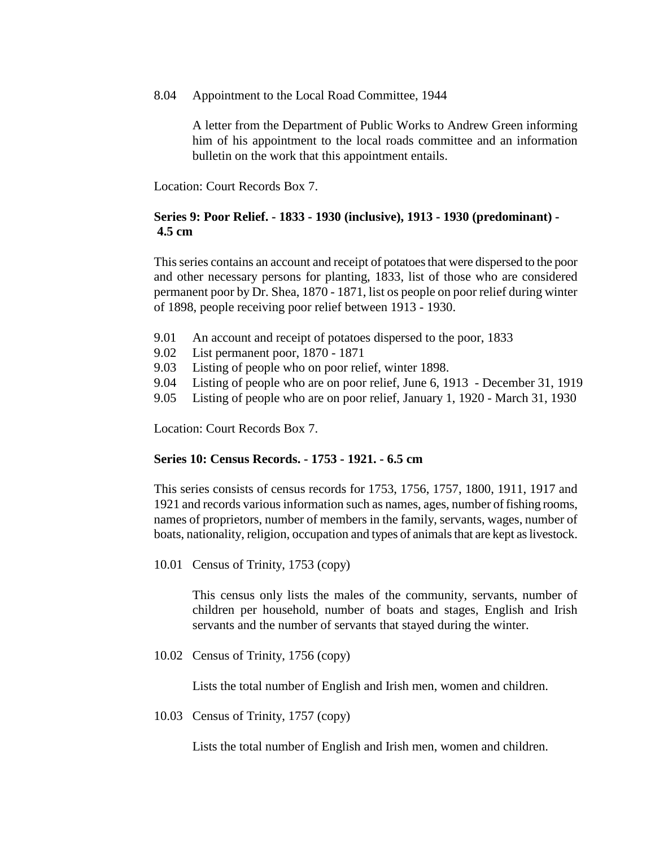8.04 Appointment to the Local Road Committee, 1944

A letter from the Department of Public Works to Andrew Green informing him of his appointment to the local roads committee and an information bulletin on the work that this appointment entails.

Location: Court Records Box 7.

# **Series 9: Poor Relief. - 1833 - 1930 (inclusive), 1913 - 1930 (predominant) - 4.5 cm**

This series contains an account and receipt of potatoes that were dispersed to the poor and other necessary persons for planting, 1833, list of those who are considered permanent poor by Dr. Shea, 1870 - 1871, list os people on poor relief during winter of 1898, people receiving poor relief between 1913 - 1930.

- 9.01 An account and receipt of potatoes dispersed to the poor, 1833
- 9.02 List permanent poor, 1870 1871
- 9.03 Listing of people who on poor relief, winter 1898.
- 9.04 Listing of people who are on poor relief, June 6, 1913 December 31, 1919
- 9.05 Listing of people who are on poor relief, January 1, 1920 March 31, 1930

Location: Court Records Box 7.

# **Series 10: Census Records. - 1753 - 1921. - 6.5 cm**

This series consists of census records for 1753, 1756, 1757, 1800, 1911, 1917 and 1921 and records various information such as names, ages, number of fishing rooms, names of proprietors, number of members in the family, servants, wages, number of boats, nationality, religion, occupation and types of animals that are kept as livestock.

10.01 Census of Trinity, 1753 (copy)

This census only lists the males of the community, servants, number of children per household, number of boats and stages, English and Irish servants and the number of servants that stayed during the winter.

10.02 Census of Trinity, 1756 (copy)

Lists the total number of English and Irish men, women and children.

10.03 Census of Trinity, 1757 (copy)

Lists the total number of English and Irish men, women and children.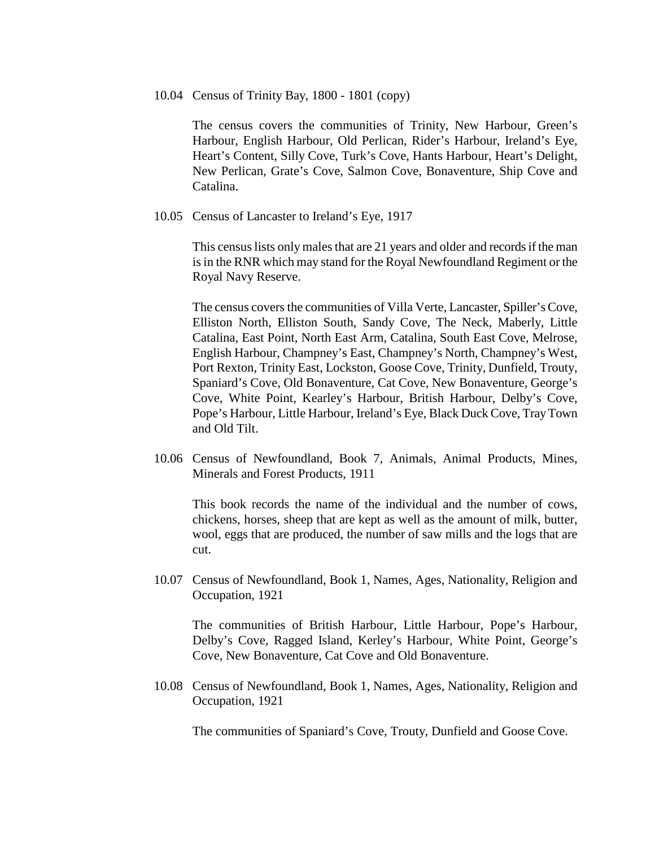#### 10.04 Census of Trinity Bay, 1800 - 1801 (copy)

The census covers the communities of Trinity, New Harbour, Green's Harbour, English Harbour, Old Perlican, Rider's Harbour, Ireland's Eye, Heart's Content, Silly Cove, Turk's Cove, Hants Harbour, Heart's Delight, New Perlican, Grate's Cove, Salmon Cove, Bonaventure, Ship Cove and Catalina.

10.05 Census of Lancaster to Ireland's Eye, 1917

This census lists only males that are 21 years and older and records if the man is in the RNR which may stand for the Royal Newfoundland Regiment or the Royal Navy Reserve.

The census covers the communities of Villa Verte, Lancaster, Spiller's Cove, Elliston North, Elliston South, Sandy Cove, The Neck, Maberly, Little Catalina, East Point, North East Arm, Catalina, South East Cove, Melrose, English Harbour, Champney's East, Champney's North, Champney's West, Port Rexton, Trinity East, Lockston, Goose Cove, Trinity, Dunfield, Trouty, Spaniard's Cove, Old Bonaventure, Cat Cove, New Bonaventure, George's Cove, White Point, Kearley's Harbour, British Harbour, Delby's Cove, Pope's Harbour, Little Harbour, Ireland's Eye, Black Duck Cove, Tray Town and Old Tilt.

10.06 Census of Newfoundland, Book 7, Animals, Animal Products, Mines, Minerals and Forest Products, 1911

This book records the name of the individual and the number of cows, chickens, horses, sheep that are kept as well as the amount of milk, butter, wool, eggs that are produced, the number of saw mills and the logs that are cut.

10.07 Census of Newfoundland, Book 1, Names, Ages, Nationality, Religion and Occupation, 1921

The communities of British Harbour, Little Harbour, Pope's Harbour, Delby's Cove, Ragged Island, Kerley's Harbour, White Point, George's Cove, New Bonaventure, Cat Cove and Old Bonaventure.

10.08 Census of Newfoundland, Book 1, Names, Ages, Nationality, Religion and Occupation, 1921

The communities of Spaniard's Cove, Trouty, Dunfield and Goose Cove.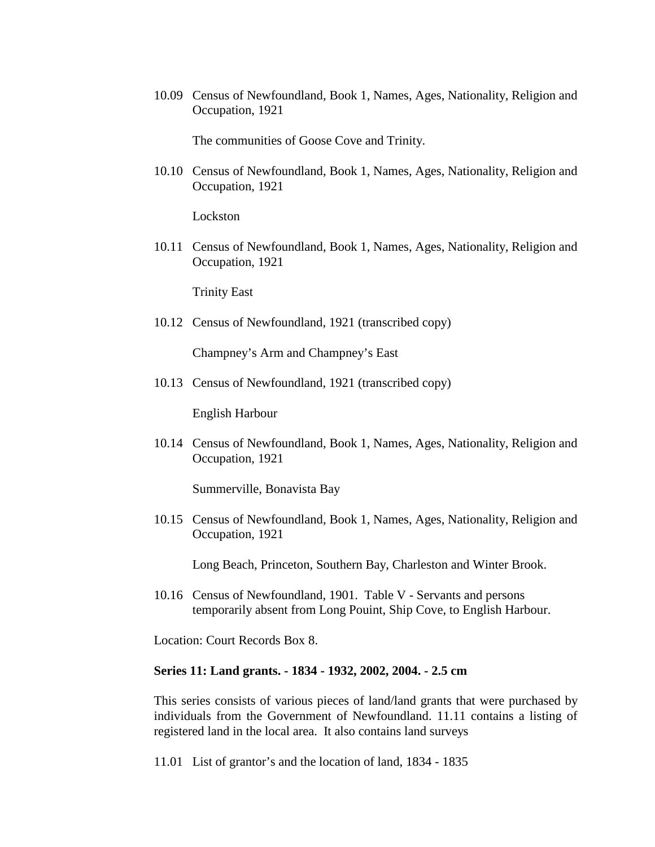10.09 Census of Newfoundland, Book 1, Names, Ages, Nationality, Religion and Occupation, 1921

The communities of Goose Cove and Trinity.

10.10 Census of Newfoundland, Book 1, Names, Ages, Nationality, Religion and Occupation, 1921

Lockston

10.11 Census of Newfoundland, Book 1, Names, Ages, Nationality, Religion and Occupation, 1921

Trinity East

10.12 Census of Newfoundland, 1921 (transcribed copy)

Champney's Arm and Champney's East

10.13 Census of Newfoundland, 1921 (transcribed copy)

English Harbour

10.14 Census of Newfoundland, Book 1, Names, Ages, Nationality, Religion and Occupation, 1921

Summerville, Bonavista Bay

10.15 Census of Newfoundland, Book 1, Names, Ages, Nationality, Religion and Occupation, 1921

Long Beach, Princeton, Southern Bay, Charleston and Winter Brook.

10.16 Census of Newfoundland, 1901. Table V - Servants and persons temporarily absent from Long Pouint, Ship Cove, to English Harbour.

Location: Court Records Box 8.

#### **Series 11: Land grants. - 1834 - 1932, 2002, 2004. - 2.5 cm**

This series consists of various pieces of land/land grants that were purchased by individuals from the Government of Newfoundland. 11.11 contains a listing of registered land in the local area. It also contains land surveys

11.01 List of grantor's and the location of land, 1834 - 1835